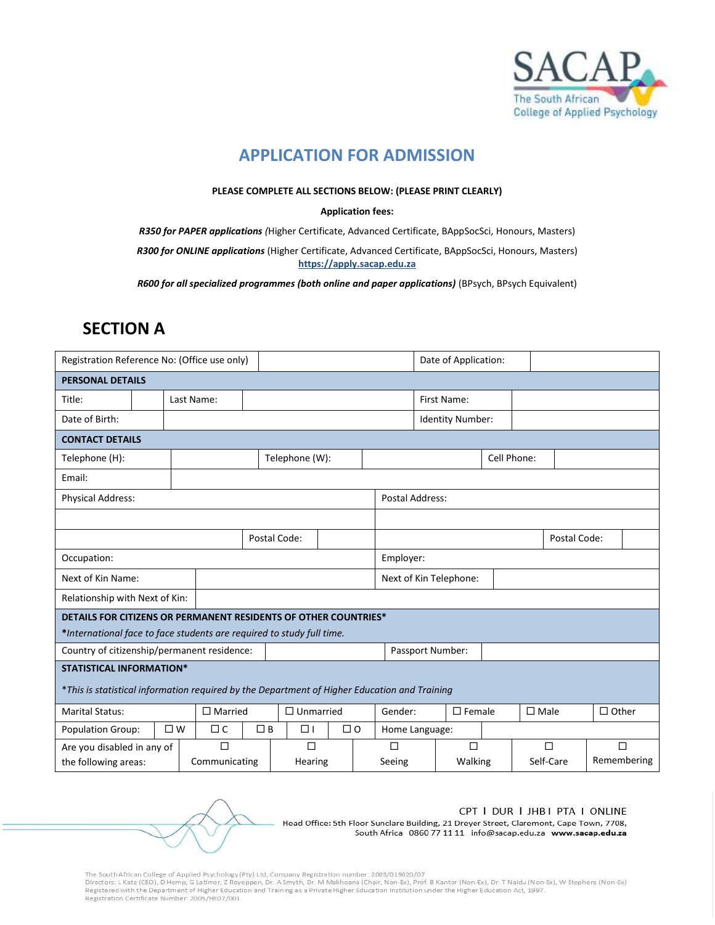

### **APPLICATION FOR ADMISSION**

#### **PLEASE COMPLETE ALL SECTIONS BELOW: (PLEASE PRINT CLEARLY)**

#### **Application fees:**

*R350 for PAPER applications (*Higher Certificate, Advanced Certificate, BAppSocSci, Honours, Masters)

*R300 for ONLINE applications* (Higher Certificate, Advanced Certificate, BAppSocSci, Honours, Masters) **https://apply.sacap.edu.za**

*R600 for all specialized programmes (both online and paper applications)* (BPsych, BPsych Equivalent)

# **SECTION A**

| Registration Reference No: (Office use only)                          |                                                                                              |                |               |                  |                | Date of Application: |                          |                         |                        |             |              |              |           |        |             |
|-----------------------------------------------------------------------|----------------------------------------------------------------------------------------------|----------------|---------------|------------------|----------------|----------------------|--------------------------|-------------------------|------------------------|-------------|--------------|--------------|-----------|--------|-------------|
| <b>PERSONAL DETAILS</b>                                               |                                                                                              |                |               |                  |                |                      |                          |                         |                        |             |              |              |           |        |             |
| Title:                                                                |                                                                                              | Last Name:     |               |                  |                |                      |                          |                         | First Name:            |             |              |              |           |        |             |
| Date of Birth:                                                        |                                                                                              |                |               |                  |                |                      |                          | <b>Identity Number:</b> |                        |             |              |              |           |        |             |
|                                                                       | <b>CONTACT DETAILS</b>                                                                       |                |               |                  |                |                      |                          |                         |                        |             |              |              |           |        |             |
| Telephone (H):                                                        |                                                                                              |                |               |                  | Telephone (W): |                      |                          |                         | Cell Phone:            |             |              |              |           |        |             |
| Email:                                                                |                                                                                              |                |               |                  |                |                      |                          |                         |                        |             |              |              |           |        |             |
| Physical Address:                                                     |                                                                                              |                |               |                  |                |                      |                          | Postal Address:         |                        |             |              |              |           |        |             |
|                                                                       |                                                                                              |                |               |                  |                |                      |                          |                         |                        |             |              |              |           |        |             |
|                                                                       |                                                                                              |                |               | Postal Code:     |                |                      |                          |                         |                        |             | Postal Code: |              |           |        |             |
| Occupation:                                                           |                                                                                              |                |               |                  |                |                      |                          | Employer:               |                        |             |              |              |           |        |             |
| Next of Kin Name:                                                     |                                                                                              |                |               |                  |                |                      |                          |                         | Next of Kin Telephone: |             |              |              |           |        |             |
| Relationship with Next of Kin:                                        |                                                                                              |                |               |                  |                |                      |                          |                         |                        |             |              |              |           |        |             |
| DETAILS FOR CITIZENS OR PERMANENT RESIDENTS OF OTHER COUNTRIES*       |                                                                                              |                |               |                  |                |                      |                          |                         |                        |             |              |              |           |        |             |
| *International face to face students are required to study full time. |                                                                                              |                |               |                  |                |                      |                          |                         |                        |             |              |              |           |        |             |
| Country of citizenship/permanent residence:                           |                                                                                              |                |               |                  |                |                      |                          | Passport Number:        |                        |             |              |              |           |        |             |
| <b>STATISTICAL INFORMATION*</b>                                       |                                                                                              |                |               |                  |                |                      |                          |                         |                        |             |              |              |           |        |             |
|                                                                       | *This is statistical information required by the Department of Higher Education and Training |                |               |                  |                |                      |                          |                         |                        |             |              |              |           |        |             |
| <b>Marital Status:</b>                                                |                                                                                              | $\Box$ Married |               | $\Box$ Unmarried |                |                      | $\Box$ Female<br>Gender: |                         |                        | $\Box$ Male |              | $\Box$ Other |           |        |             |
| <b>Population Group:</b>                                              |                                                                                              | $\square$ W    | $\Box$ C      | $\Box$ B         | $\Box$         |                      | $\Box$ 0                 | Home Language:          |                        |             |              |              |           |        |             |
| Are you disabled in any of                                            |                                                                                              |                | П             |                  | $\Box$         |                      |                          | П                       | $\Box$                 |             |              |              | $\Box$    | $\Box$ |             |
| the following areas:                                                  |                                                                                              |                | Communicating |                  | Hearing        |                      | Seeing                   |                         |                        | Walking     |              |              | Self-Care |        | Remembering |

CPT I DUR I JHB I PTA I ONLINE

Head Office: 5th Floor Sunclare Building, 21 Dreyer Street, Claremont, Cape Town, 7708, South Africa 0860 77 11 11 info@sacap.edu.za www.sacap.edu.za

The South African College of Applied Psychology (Pty) Ltd, Company Registration number: 2003/019020/07<br>Directors: L Katz (CEO), D Hemp, G Latimer, Z Royeppen, Dr. A Smyth, Dr. M Makhoana (Chair, Non-Ex), Prof. B Kantor (No Registration Certificate Number: 2005/HE07/001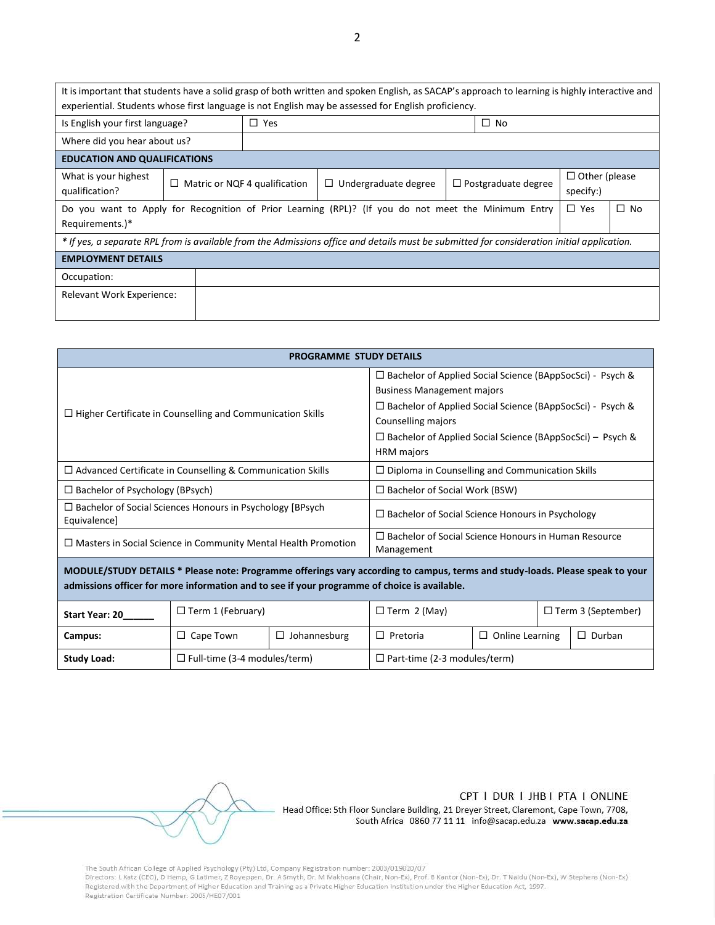| It is important that students have a solid grasp of both written and spoken English, as SACAP's approach to learning is highly interactive and<br>experiential. Students whose first language is not English may be assessed for English proficiency. |   |                               |                                                                                                     |                            |                                   |           |  |  |
|-------------------------------------------------------------------------------------------------------------------------------------------------------------------------------------------------------------------------------------------------------|---|-------------------------------|-----------------------------------------------------------------------------------------------------|----------------------------|-----------------------------------|-----------|--|--|
| Is English your first language?                                                                                                                                                                                                                       |   | $\Box$ Yes                    |                                                                                                     | $\Box$ No                  |                                   |           |  |  |
| Where did you hear about us?                                                                                                                                                                                                                          |   |                               |                                                                                                     |                            |                                   |           |  |  |
| <b>EDUCATION AND QUALIFICATIONS</b>                                                                                                                                                                                                                   |   |                               |                                                                                                     |                            |                                   |           |  |  |
| What is your highest<br>qualification?                                                                                                                                                                                                                | □ | Matric or NQF 4 qualification | $\Box$ Undergraduate degree                                                                         | $\Box$ Postgraduate degree | $\Box$ Other (please<br>specify:) |           |  |  |
| Requirements.)*                                                                                                                                                                                                                                       |   |                               | Do you want to Apply for Recognition of Prior Learning (RPL)? (If you do not meet the Minimum Entry |                            | $\Box$ Yes                        | $\Box$ No |  |  |
| * If yes, a separate RPL from is available from the Admissions office and details must be submitted for consideration initial application.                                                                                                            |   |                               |                                                                                                     |                            |                                   |           |  |  |
| <b>EMPLOYMENT DETAILS</b>                                                                                                                                                                                                                             |   |                               |                                                                                                     |                            |                                   |           |  |  |
| Occupation:                                                                                                                                                                                                                                           |   |                               |                                                                                                     |                            |                                   |           |  |  |
| Relevant Work Experience:                                                                                                                                                                                                                             |   |                               |                                                                                                     |                            |                                   |           |  |  |

| <b>PROGRAMME STUDY DETAILS</b>                                                                                                                                                                                                |                                                         |                                                                                                                                                                                                                                                                                          |                                                        |  |               |  |
|-------------------------------------------------------------------------------------------------------------------------------------------------------------------------------------------------------------------------------|---------------------------------------------------------|------------------------------------------------------------------------------------------------------------------------------------------------------------------------------------------------------------------------------------------------------------------------------------------|--------------------------------------------------------|--|---------------|--|
| $\Box$ Higher Certificate in Counselling and Communication Skills                                                                                                                                                             |                                                         | $\Box$ Bachelor of Applied Social Science (BAppSocSci) - Psych &<br><b>Business Management majors</b><br>$\Box$ Bachelor of Applied Social Science (BAppSocSci) - Psych &<br>Counselling majors<br>$\Box$ Bachelor of Applied Social Science (BAppSocSci) – Psych &<br><b>HRM</b> majors |                                                        |  |               |  |
| $\Box$ Advanced Certificate in Counselling & Communication Skills                                                                                                                                                             |                                                         |                                                                                                                                                                                                                                                                                          | $\Box$ Diploma in Counselling and Communication Skills |  |               |  |
| $\Box$ Bachelor of Psychology (BPsych)                                                                                                                                                                                        | $\Box$ Bachelor of Social Work (BSW)                    |                                                                                                                                                                                                                                                                                          |                                                        |  |               |  |
| $\Box$ Bachelor of Social Sciences Honours in Psychology [BPsych]<br>Equivalence]                                                                                                                                             | $\Box$ Bachelor of Social Science Honours in Psychology |                                                                                                                                                                                                                                                                                          |                                                        |  |               |  |
| $\Box$ Masters in Social Science in Community Mental Health Promotion                                                                                                                                                         |                                                         | $\Box$ Bachelor of Social Science Honours in Human Resource<br>Management                                                                                                                                                                                                                |                                                        |  |               |  |
| MODULE/STUDY DETAILS * Please note: Programme offerings vary according to campus, terms and study-loads. Please speak to your<br>admissions officer for more information and to see if your programme of choice is available. |                                                         |                                                                                                                                                                                                                                                                                          |                                                        |  |               |  |
| $\Box$ Term 1 (February)<br><b>Start Year: 20</b>                                                                                                                                                                             |                                                         |                                                                                                                                                                                                                                                                                          | $\Box$ Term 2 (May)<br>$\Box$ Term 3 (September)       |  |               |  |
| Campus:                                                                                                                                                                                                                       | $\Box$ Cape Town                                        | $\Box$ Johannesburg                                                                                                                                                                                                                                                                      | $\Box$ Online Learning<br>$\Box$ Pretoria              |  | $\Box$ Durban |  |
| $\Box$ Full-time (3-4 modules/term)<br><b>Study Load:</b><br>$\Box$ Part-time (2-3 modules/term)                                                                                                                              |                                                         |                                                                                                                                                                                                                                                                                          |                                                        |  |               |  |

CPT I DUR I JHB I PTA I ONLINE

Head Office: 5th Floor Sunclare Building, 21 Dreyer Street, Claremont, Cape Town, 7708, South Africa 0860 77 11 11 info@sacap.edu.za www.sacap.edu.za

The South African College of Applied Psychology (Pty) Ltd, Company Registration number: 2003/019020/07<br>Directors: LKatz (CEO), D Hemp, G Latimer, Z Royeppen, Dr. A Smyth, Dr. M Makhoana (Chair, Non-Ex), Prof. B Kantor (Non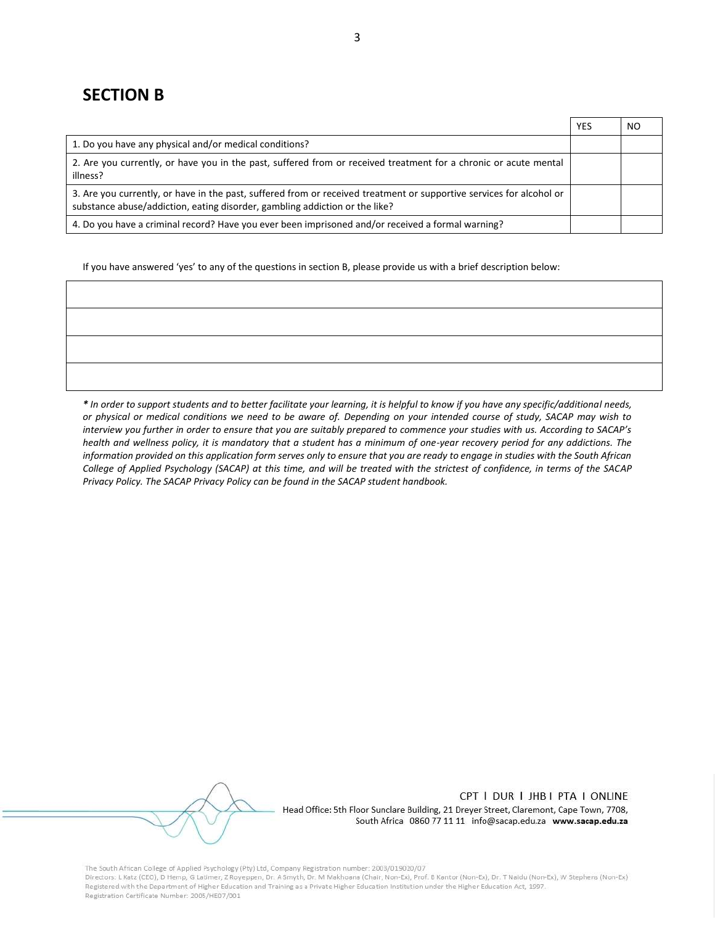### **SECTION B**

|                                                                                                                                                                                                     | <b>YES</b> | NO. |
|-----------------------------------------------------------------------------------------------------------------------------------------------------------------------------------------------------|------------|-----|
| 1. Do you have any physical and/or medical conditions?                                                                                                                                              |            |     |
| 2. Are you currently, or have you in the past, suffered from or received treatment for a chronic or acute mental<br>illness?                                                                        |            |     |
| 3. Are you currently, or have in the past, suffered from or received treatment or supportive services for alcohol or<br>substance abuse/addiction, eating disorder, gambling addiction or the like? |            |     |
| 4. Do you have a criminal record? Have you ever been imprisoned and/or received a formal warning?                                                                                                   |            |     |

If you have answered 'yes' to any of the questions in section B, please provide us with a brief description below:

*\* In order to support students and to better facilitate your learning, it is helpful to know if you have any specific/additional needs, or physical or medical conditions we need to be aware of. Depending on your intended course of study, SACAP may wish to interview you further in order to ensure that you are suitably prepared to commence your studies with us. According to SACAP's health and wellness policy, it is mandatory that a student has a minimum of one-year recovery period for any addictions. The information provided on this application form serves only to ensure that you are ready to engage in studies with the South African College of Applied Psychology (SACAP) at this time, and will be treated with the strictest of confidence, in terms of the SACAP Privacy Policy. The SACAP Privacy Policy can be found in the SACAP student handbook.*

CPT | DUR | JHB | PTA | ONLINE Head Office: 5th Floor Sunclare Building, 21 Dreyer Street, Claremont, Cape Town, 7708,

South Africa 0860 77 11 11 info@sacap.edu.za www.sacap.edu.za

The South African College of Applied Psychology (Pty) Ltd, Company Registration number: 2003/019020/07

Directors: L Katz (CEO), D Hemp, G Latimer, Z Royeppen, Dr. A Smyth, Dr. M Makhoana (Chair, Non-Ex), Prof. B Kantor (Non-Ex), Dr. T Naidu (Non-Ex), W Stephens (Non-Ex) Registered with the Department of Higher Education and Training as a Private Higher Education Institution under the Higher Education Act, 1997. Registration Certificate Number: 2005/HE07/001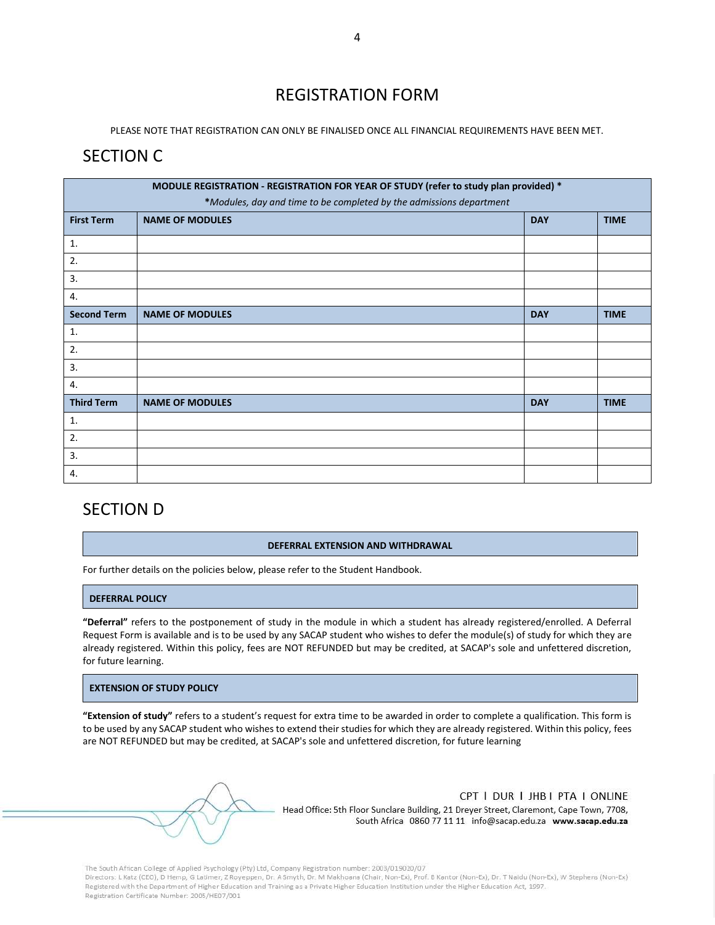## REGISTRATION FORM

PLEASE NOTE THAT REGISTRATION CAN ONLY BE FINALISED ONCE ALL FINANCIAL REQUIREMENTS HAVE BEEN MET.

### SECTION C

| MODULE REGISTRATION - REGISTRATION FOR YEAR OF STUDY (refer to study plan provided) * |                        |            |             |  |  |  |
|---------------------------------------------------------------------------------------|------------------------|------------|-------------|--|--|--|
| *Modules, day and time to be completed by the admissions department                   |                        |            |             |  |  |  |
| <b>First Term</b>                                                                     | <b>NAME OF MODULES</b> | <b>DAY</b> | <b>TIME</b> |  |  |  |
| 1.                                                                                    |                        |            |             |  |  |  |
| 2.                                                                                    |                        |            |             |  |  |  |
| 3.                                                                                    |                        |            |             |  |  |  |
| 4.                                                                                    |                        |            |             |  |  |  |
| <b>Second Term</b>                                                                    | <b>NAME OF MODULES</b> | <b>DAY</b> | <b>TIME</b> |  |  |  |
| 1.                                                                                    |                        |            |             |  |  |  |
| 2.                                                                                    |                        |            |             |  |  |  |
| 3.                                                                                    |                        |            |             |  |  |  |
| 4.                                                                                    |                        |            |             |  |  |  |
| <b>Third Term</b>                                                                     | <b>NAME OF MODULES</b> | <b>DAY</b> | <b>TIME</b> |  |  |  |
| 1.                                                                                    |                        |            |             |  |  |  |
| 2.                                                                                    |                        |            |             |  |  |  |
| 3.                                                                                    |                        |            |             |  |  |  |
| 4.                                                                                    |                        |            |             |  |  |  |

## SECTION D

#### **DEFERRAL EXTENSION AND WITHDRAWAL**

For further details on the policies below, please refer to the Student Handbook.

### **DEFERRAL POLICY**

**"Deferral"** refers to the postponement of study in the module in which a student has already registered/enrolled. A Deferral Request Form is available and is to be used by any SACAP student who wishes to defer the module(s) of study for which they are already registered. Within this policy, fees are NOT REFUNDED but may be credited, at SACAP's sole and unfettered discretion, for future learning.

### **EXTENSION OF STUDY POLICY**

**"Extension of study"** refers to a student's request for extra time to be awarded in order to complete a qualification. This form is to be used by any SACAP student who wishes to extend their studies for which they are already registered. Within this policy, fees are NOT REFUNDED but may be credited, at SACAP's sole and unfettered discretion, for future learning

CPT | DUR | JHB | PTA | ONLINE Head Office: 5th Floor Sunclare Building, 21 Dreyer Street, Claremont, Cape Town, 7708, South Africa 0860 77 11 11 info@sacap.edu.za www.sacap.edu.za

The South African College of Applied Psychology (Pty) Ltd, Company Registration number: 2003/019020/07 Directors: L Katz (CEO), D Hemp, G Latimer, Z Royeppen, Dr. A Smyth, Dr. M Makhoana (Chair, Non-Ex), Prof. B Kantor (Non-Ex), Dr. T Naidu (Non-Ex), W Stephens (Non-Ex) Registered with the Department of Higher Education and Training as a Private Higher Education Institution under the Higher Education Act, 1997.

Registration Certificate Number: 2005/HE07/001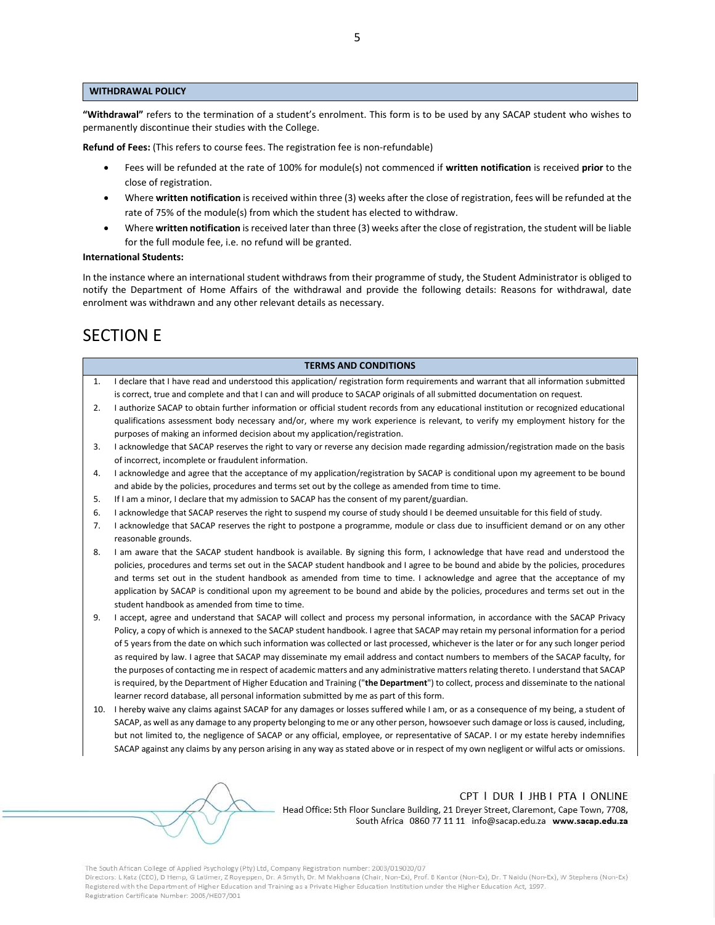#### **WITHDRAWAL POLICY**

**"Withdrawal"** refers to the termination of a student's enrolment. This form is to be used by any SACAP student who wishes to permanently discontinue their studies with the College.

**Refund of Fees:** (This refers to course fees. The registration fee is non-refundable)

- Fees will be refunded at the rate of 100% for module(s) not commenced if **written notification** is received **prior** to the close of registration.
- Where **written notification** is received within three (3) weeks after the close of registration, fees will be refunded at the rate of 75% of the module(s) from which the student has elected to withdraw.
- Where **written notification** is received later than three (3) weeks after the close of registration, the student will be liable for the full module fee, i.e. no refund will be granted.

#### **International Students:**

In the instance where an international student withdraws from their programme of study, the Student Administrator is obliged to notify the Department of Home Affairs of the withdrawal and provide the following details: Reasons for withdrawal, date enrolment was withdrawn and any other relevant details as necessary.

# SECTION E

#### **TERMS AND CONDITIONS**

- 1. I declare that I have read and understood this application/ registration form requirements and warrant that all information submitted is correct, true and complete and that I can and will produce to SACAP originals of all submitted documentation on request.
- 2. I authorize SACAP to obtain further information or official student records from any educational institution or recognized educational qualifications assessment body necessary and/or, where my work experience is relevant, to verify my employment history for the purposes of making an informed decision about my application/registration.
- 3. I acknowledge that SACAP reserves the right to vary or reverse any decision made regarding admission/registration made on the basis of incorrect, incomplete or fraudulent information.
- 4. I acknowledge and agree that the acceptance of my application/registration by SACAP is conditional upon my agreement to be bound and abide by the policies, procedures and terms set out by the college as amended from time to time.
- 5. If I am a minor, I declare that my admission to SACAP has the consent of my parent/guardian.
- 6. I acknowledge that SACAP reserves the right to suspend my course of study should I be deemed unsuitable for this field of study.
- 7. I acknowledge that SACAP reserves the right to postpone a programme, module or class due to insufficient demand or on any other reasonable grounds.
- 8. I am aware that the SACAP student handbook is available. By signing this form, I acknowledge that have read and understood the policies, procedures and terms set out in the SACAP student handbook and I agree to be bound and abide by the policies, procedures and terms set out in the student handbook as amended from time to time. I acknowledge and agree that the acceptance of my application by SACAP is conditional upon my agreement to be bound and abide by the policies, procedures and terms set out in the student handbook as amended from time to time.
- 9. I accept, agree and understand that SACAP will collect and process my personal information, in accordance with the SACAP Privacy Policy, a copy of which is annexed to the SACAP student handbook. I agree that SACAP may retain my personal information for a period of 5 years from the date on which such information was collected or last processed, whichever is the later or for any such longer period as required by law. I agree that SACAP may disseminate my email address and contact numbers to members of the SACAP faculty, for the purposes of contacting me in respect of academic matters and any administrative matters relating thereto. I understand that SACAP is required, by the Department of Higher Education and Training ("**the Department**") to collect, process and disseminate to the national learner record database, all personal information submitted by me as part of this form.
- 10. I hereby waive any claims against SACAP for any damages or losses suffered while I am, or as a consequence of my being, a student of SACAP, as well as any damage to any property belonging to me or any other person, howsoever such damage or loss is caused, including, but not limited to, the negligence of SACAP or any official, employee, or representative of SACAP. I or my estate hereby indemnifies SACAP against any claims by any person arising in any way as stated above or in respect of my own negligent or wilful acts or omissions.

### CPT I DUR I JHB I PTA I ONLINE

Head Office: 5th Floor Sunclare Building, 21 Dreyer Street, Claremont, Cape Town, 7708, South Africa 0860 77 11 11 info@sacap.edu.za www.sacap.edu.za

The South African College of Applied Psychology (Pty) Ltd, Company Registration number: 2003/019020/07

Directors: L Katz (CEO), D Hemp, G Latimer, Z Royeppen, Dr. A Smyth, Dr. M Makhoana (Chair, Non-Ex), Prof. B Kantor (Non-Ex), Dr. T Naidu (Non-Ex), W Stephens (Non-Ex) Registered with the Department of Higher Education and Training as a Private Higher Education Institution under the Higher Education Act, 1997 Registration Certificate Number: 2005/HE07/001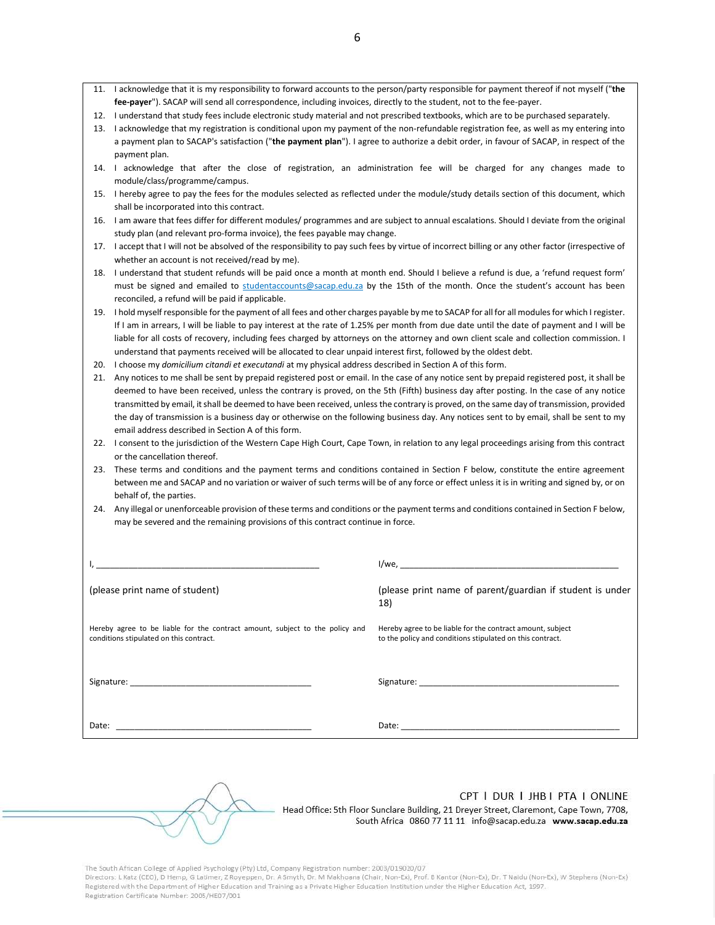- 11. I acknowledge that it is my responsibility to forward accounts to the person/party responsible for payment thereof if not myself ("**the fee-payer**"). SACAP will send all correspondence, including invoices, directly to the student, not to the fee-payer.
- 12. I understand that study fees include electronic study material and not prescribed textbooks, which are to be purchased separately.
- 13. I acknowledge that my registration is conditional upon my payment of the non-refundable registration fee, as well as my entering into a payment plan to SACAP's satisfaction ("**the payment plan**"). I agree to authorize a debit order, in favour of SACAP, in respect of the payment plan.
- 14. I acknowledge that after the close of registration, an administration fee will be charged for any changes made to module/class/programme/campus.
- 15. I hereby agree to pay the fees for the modules selected as reflected under the module/study details section of this document, which shall be incorporated into this contract.
- 16. I am aware that fees differ for different modules/ programmes and are subject to annual escalations. Should I deviate from the original study plan (and relevant pro-forma invoice), the fees payable may change.
- 17. I accept that I will not be absolved of the responsibility to pay such fees by virtue of incorrect billing or any other factor (irrespective of whether an account is not received/read by me).
- 18. I understand that student refunds will be paid once a month at month end. Should I believe a refund is due, a 'refund request form' must be signed and emailed to studen[taccounts@sacap.edu.za](mailto:accounts@sacap.edu.za) by the 15th of the month. Once the student's account has been reconciled, a refund will be paid if applicable.
- 19. I hold myself responsible for the payment of all fees and other charges payable by me to SACAP for all for all modules for which I register. If I am in arrears, I will be liable to pay interest at the rate of 1.25% per month from due date until the date of payment and I will be liable for all costs of recovery, including fees charged by attorneys on the attorney and own client scale and collection commission. I understand that payments received will be allocated to clear unpaid interest first, followed by the oldest debt.
- 20. I choose my *domicilium citandi et executandi* at my physical address described in Section A of this form.
- 21. Any notices to me shall be sent by prepaid registered post or email. In the case of any notice sent by prepaid registered post, it shall be deemed to have been received, unless the contrary is proved, on the 5th (Fifth) business day after posting. In the case of any notice transmitted by email, it shall be deemed to have been received, unless the contrary is proved, on the same day of transmission, provided the day of transmission is a business day or otherwise on the following business day. Any notices sent to by email, shall be sent to my email address described in Section A of this form.
- 22. I consent to the jurisdiction of the Western Cape High Court, Cape Town, in relation to any legal proceedings arising from this contract or the cancellation thereof.
- 23. These terms and conditions and the payment terms and conditions contained in Section F below, constitute the entire agreement between me and SACAP and no variation or waiver of such terms will be of any force or effect unless it is in writing and signed by, or on behalf of, the parties.
- 24. Any illegal or unenforceable provision of these terms and conditions or the payment terms and conditions contained in Section F below, may be severed and the remaining provisions of this contract continue in force.

| (please print name of student)                                                                                          | (please print name of parent/guardian if student is under<br>18)                                                        |
|-------------------------------------------------------------------------------------------------------------------------|-------------------------------------------------------------------------------------------------------------------------|
| Hereby agree to be liable for the contract amount, subject to the policy and<br>conditions stipulated on this contract. | Hereby agree to be liable for the contract amount, subject<br>to the policy and conditions stipulated on this contract. |
|                                                                                                                         |                                                                                                                         |
| Date:                                                                                                                   |                                                                                                                         |

CPT | DUR | JHB | PTA | ONLINE

Head Office: 5th Floor Sunclare Building, 21 Dreyer Street, Claremont, Cape Town, 7708, South Africa 0860 77 11 11 info@sacap.edu.za www.sacap.edu.za

The South African College of Applied Psychology (Pty) Ltd, Company Registration number: 2003/019020/07

Directors: L Katz (CEO), D Hemp, G Latimer, Z Royeppen, Dr. A Smyth, Dr. M Makhoana (Chair, Non-Ex), Prof. B Kantor (Non-Ex), Dr. T Naidu (Non-Ex), W Stephens (Non-Ex) Registered with the Department of Higher Education and Training as a Private Higher Education Institution under the Higher Education Act, 1997. Registration Certificate Number: 2005/HE07/001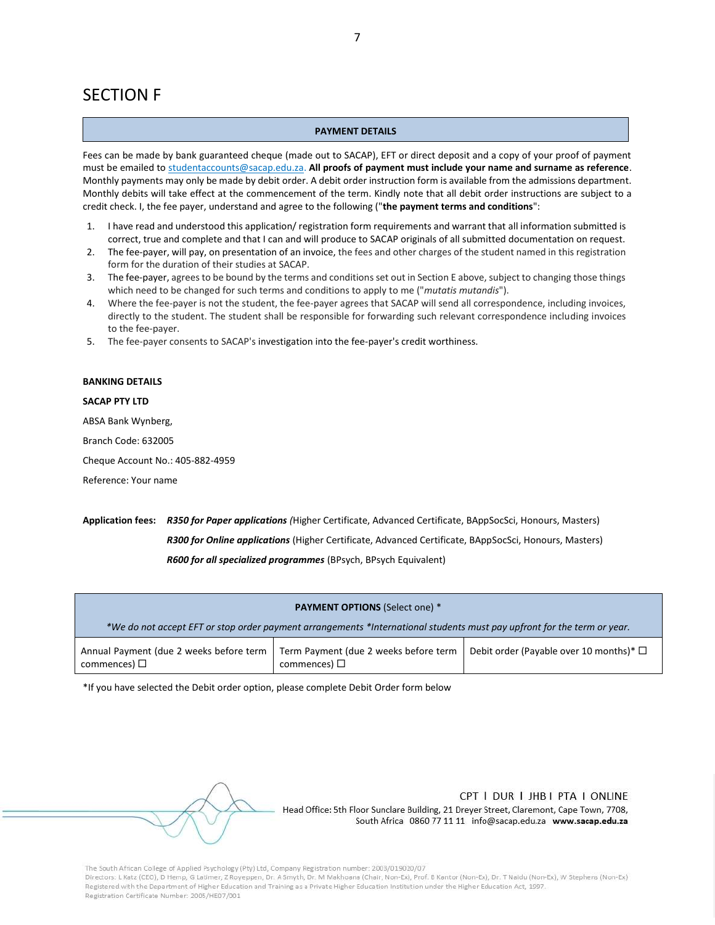### SECTION F

#### **PAYMENT DETAILS**

Fees can be made by bank guaranteed cheque (made out to SACAP), EFT or direct deposit and a copy of your proof of payment must be emailed to studen[taccounts@sacap.edu.za.](mailto:accounts@sacap.edu.za) **All proofs of payment must include your name and surname as reference**. Monthly payments may only be made by debit order. A debit order instruction form is available from the admissions department. Monthly debits will take effect at the commencement of the term. Kindly note that all debit order instructions are subject to a credit check. I, the fee payer, understand and agree to the following ("**the payment terms and conditions**":

- 1. I have read and understood this application/ registration form requirements and warrant that all information submitted is correct, true and complete and that I can and will produce to SACAP originals of all submitted documentation on request.
- 2. The fee-payer, will pay, on presentation of an invoice, the fees and other charges of the student named in this registration form for the duration of their studies at SACAP.
- 3. The fee-payer, agrees to be bound by the terms and conditions set out in Section E above, subject to changing those things which need to be changed for such terms and conditions to apply to me ("*mutatis mutandis*").
- 4. Where the fee-payer is not the student, the fee-payer agrees that SACAP will send all correspondence, including invoices, directly to the student. The student shall be responsible for forwarding such relevant correspondence including invoices to the fee-payer.
- 5. The fee-payer consents to SACAP's investigation into the fee-payer's credit worthiness.

#### **BANKING DETAILS**

#### **SACAP PTY LTD**

ABSA Bank Wynberg,

Branch Code: 632005

Cheque Account No.: 405-882-4959

Reference: Your name

### **Application fees:** *R350 for Paper applications (*Higher Certificate, Advanced Certificate, BAppSocSci, Honours, Masters) *R300 for Online applications* (Higher Certificate, Advanced Certificate, BAppSocSci, Honours, Masters) *R600 for all specialized programmes* (BPsych, BPsych Equivalent)

| <b>PAYMENT OPTIONS (Select one) *</b>                                                                                   |                                                            |                                              |  |  |  |  |  |
|-------------------------------------------------------------------------------------------------------------------------|------------------------------------------------------------|----------------------------------------------|--|--|--|--|--|
| *We do not accept EFT or stop order payment arrangements *International students must pay upfront for the term or year. |                                                            |                                              |  |  |  |  |  |
| Annual Payment (due 2 weeks before term<br>commences) $\Box$                                                            | Term Payment (due 2 weeks before term<br>commences) $\Box$ | Debit order (Payable over 10 months)* $\Box$ |  |  |  |  |  |

\*If you have selected the Debit order option, please complete Debit Order form below

CPT I DUR I JHB I PTA I ONLINE

Head Office: 5th Floor Sunclare Building, 21 Dreyer Street, Claremont, Cape Town, 7708, South Africa 0860 77 11 11 info@sacap.edu.za www.sacap.edu.za

The South African College of Applied Psychology (Pty) Ltd, Company Registration number: 2003/019020/07

Directors: L Katz (CEO), D Hemp, G Latimer, Z Royeppen, Dr. A Smyth, Dr. M Makhoana (Chair, Non-Ex), Prof. B Kantor (Non-Ex), Dr. T Naidu (Non-Ex), W Stephens (Non-Ex) Registered with the Department of Higher Education and Training as a Private Higher Education Institution under the Higher Education Act, 1997. Registration Certificate Number: 2005/HE07/001